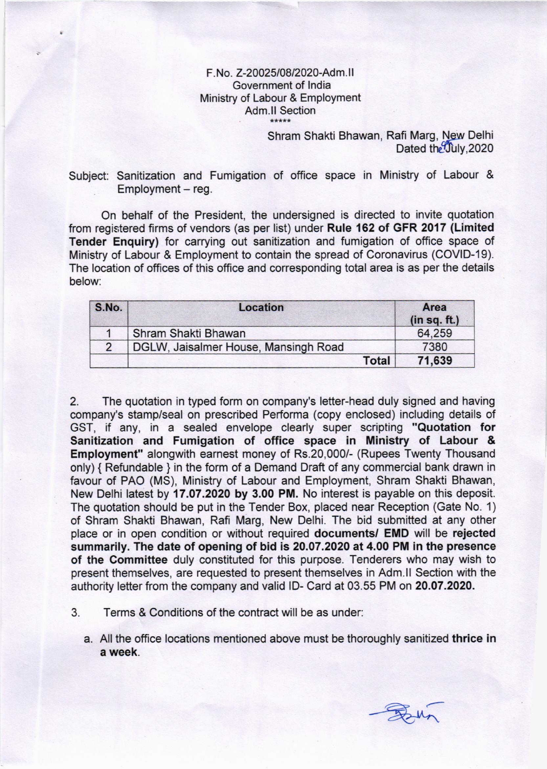## F. No. Z-20025/08/2020-Adm.II Government of lndia Ministry of Labour & Employment Adm.ll Section

Shram Shakti Bhawan, Rafi Marg, New Delhi Dated the July, 2020

Subject: Sanitization and Fumigation of office space in Ministry of Labour &  $Employment - reg.$ 

On behalf of the President, the undersigned is directed to invite quotation from registered firms of vendors (as per list) under Rule 162 of GFR 2017 (Limited Tender Enquiry) for carrying out sanitization and fumigation of office space of Ministry of Labour & Employment to contain the spread of Coronavirus (COVID-19). The location of offices of this office and corresponding total area is as per the details below:

| S.No.         | Location                             | Area<br>(in sq. ft.) |
|---------------|--------------------------------------|----------------------|
|               | Shram Shakti Bhawan                  | 64.259               |
| $\mathcal{P}$ | DGLW, Jaisalmer House, Mansingh Road | 7380                 |
|               | <b>Total</b>                         | 71,639               |

2. The quotation in typed form on company's letter-head duly signed and having company's stamp/seal on prescribed Performa (copy enclosed) including details of GST, if any, in a sealed envelope clearly super scripting "Quotation for Sanitization and Fumigation of office space in Ministry of Labour & Employment" alongwith earnest money of Rs.20,000/- (Rupees Twenty Thousand only) { Refundable } in the form of a Demand Draft of any commercial bank drawn in favour of PAO (MS), Ministry of Labour and Employment, Shram Shakti Bhawan, New Delhi latest by 17.07.2020 by 3.00 PM. No interest is payable on this deposit. The quotation should be put in the Tender Box, placed near Reception (Gate No. 1) of Shram Shakti Bhawan, Rafi Marg, New Delhi. The bid submitted at any other place or in open condition or without required documents/ EMD will be rejected summarily. The date of opening of bid is 20.07.2020 at 4.00 PM in the presence of the Committee duly constituted for this purpose. Tenderers who may wish to present themselves, are requested to present themselves in Adm.ll Section with the authority letter from the company and valid lD- Card at 03.55 PM on 20.07.2020.

- 3. Terms & Conditions of the contract will be as under:
	- a. All the office locations mentioned above must be thoroughly sanitized thrice in a week.